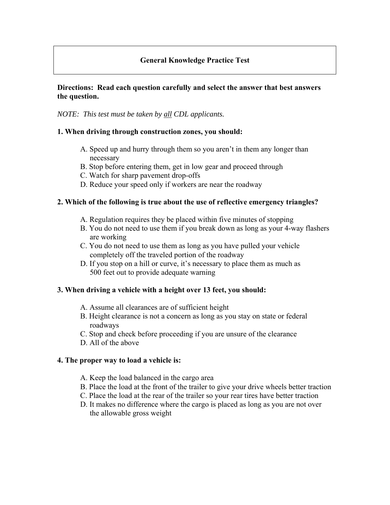# **General Knowledge Practice Test**

## **Directions: Read each question carefully and select the answer that best answers the question.**

*NOTE: This test must be taken by all CDL applicants.* 

#### **1. When driving through construction zones, you should:**

- A. Speed up and hurry through them so you aren't in them any longer than necessary
- B. Stop before entering them, get in low gear and proceed through
- C. Watch for sharp pavement drop-offs
- D. Reduce your speed only if workers are near the roadway

## **2. Which of the following is true about the use of reflective emergency triangles?**

- A. Regulation requires they be placed within five minutes of stopping
- B. You do not need to use them if you break down as long as your 4-way flashers are working
- C. You do not need to use them as long as you have pulled your vehicle completely off the traveled portion of the roadway
- D. If you stop on a hill or curve, it's necessary to place them as much as 500 feet out to provide adequate warning

## **3. When driving a vehicle with a height over 13 feet, you should:**

- A. Assume all clearances are of sufficient height
- B. Height clearance is not a concern as long as you stay on state or federal roadways
- C. Stop and check before proceeding if you are unsure of the clearance
- D. All of the above

#### **4. The proper way to load a vehicle is:**

- A. Keep the load balanced in the cargo area
- B. Place the load at the front of the trailer to give your drive wheels better traction
- C. Place the load at the rear of the trailer so your rear tires have better traction
- D. It makes no difference where the cargo is placed as long as you are not over the allowable gross weight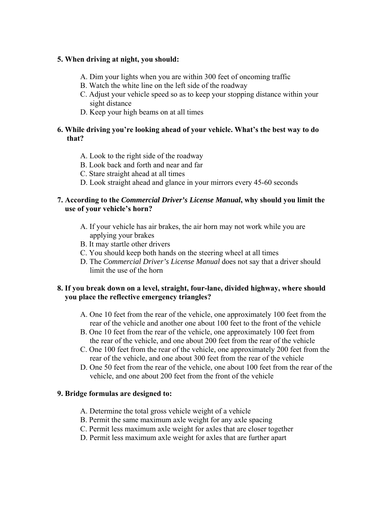#### **5. When driving at night, you should:**

- A. Dim your lights when you are within 300 feet of oncoming traffic
- B. Watch the white line on the left side of the roadway
- C. Adjust your vehicle speed so as to keep your stopping distance within your sight distance
- D. Keep your high beams on at all times

## **6. While driving you're looking ahead of your vehicle. What's the best way to do that?**

- A. Look to the right side of the roadway
- B. Look back and forth and near and far
- C. Stare straight ahead at all times
- D. Look straight ahead and glance in your mirrors every 45-60 seconds

### **7. According to the** *Commercial Driver's License Manual***, why should you limit the use of your vehicle's horn?**

- A. If your vehicle has air brakes, the air horn may not work while you are applying your brakes
- B. It may startle other drivers
- C. You should keep both hands on the steering wheel at all times
- D. The *Commercial Driver's License Manual* does not say that a driver should limit the use of the horn

## **8. If you break down on a level, straight, four-lane, divided highway, where should you place the reflective emergency triangles?**

- A. One 10 feet from the rear of the vehicle, one approximately 100 feet from the rear of the vehicle and another one about 100 feet to the front of the vehicle
- B. One 10 feet from the rear of the vehicle, one approximately 100 feet from the rear of the vehicle, and one about 200 feet from the rear of the vehicle
- C. One 100 feet from the rear of the vehicle, one approximately 200 feet from the rear of the vehicle, and one about 300 feet from the rear of the vehicle
- D. One 50 feet from the rear of the vehicle, one about 100 feet from the rear of the vehicle, and one about 200 feet from the front of the vehicle

#### **9. Bridge formulas are designed to:**

- A. Determine the total gross vehicle weight of a vehicle
- B. Permit the same maximum axle weight for any axle spacing
- C. Permit less maximum axle weight for axles that are closer together
- D. Permit less maximum axle weight for axles that are further apart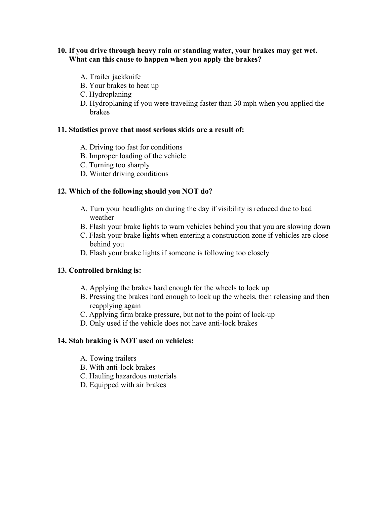### **10. If you drive through heavy rain or standing water, your brakes may get wet. What can this cause to happen when you apply the brakes?**

- A. Trailer jackknife
- B. Your brakes to heat up
- C. Hydroplaning
- D. Hydroplaning if you were traveling faster than 30 mph when you applied the brakes

#### **11. Statistics prove that most serious skids are a result of:**

- A. Driving too fast for conditions
- B. Improper loading of the vehicle
- C. Turning too sharply
- D. Winter driving conditions

#### **12. Which of the following should you NOT do?**

- A. Turn your headlights on during the day if visibility is reduced due to bad weather
- B. Flash your brake lights to warn vehicles behind you that you are slowing down
- C. Flash your brake lights when entering a construction zone if vehicles are close behind you
- D. Flash your brake lights if someone is following too closely

#### **13. Controlled braking is:**

- A. Applying the brakes hard enough for the wheels to lock up
- B. Pressing the brakes hard enough to lock up the wheels, then releasing and then reapplying again
- C. Applying firm brake pressure, but not to the point of lock-up
- D. Only used if the vehicle does not have anti-lock brakes

#### **14. Stab braking is NOT used on vehicles:**

- A. Towing trailers
- B. With anti-lock brakes
- C. Hauling hazardous materials
- D. Equipped with air brakes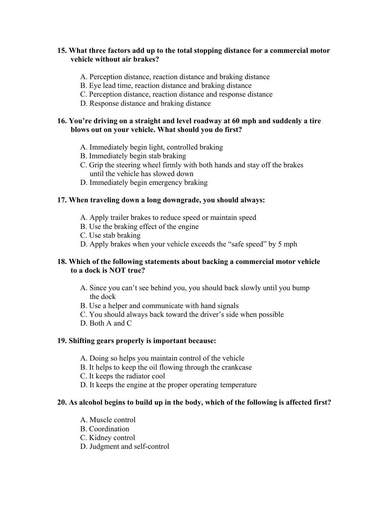## **15. What three factors add up to the total stopping distance for a commercial motor vehicle without air brakes?**

- A. Perception distance, reaction distance and braking distance
- B. Eye lead time, reaction distance and braking distance
- C. Perception distance, reaction distance and response distance
- D. Response distance and braking distance

### **16. You're driving on a straight and level roadway at 60 mph and suddenly a tire blows out on your vehicle. What should you do first?**

- A. Immediately begin light, controlled braking
- B. Immediately begin stab braking
- C. Grip the steering wheel firmly with both hands and stay off the brakes until the vehicle has slowed down
- D. Immediately begin emergency braking

## **17. When traveling down a long downgrade, you should always:**

- A. Apply trailer brakes to reduce speed or maintain speed
- B. Use the braking effect of the engine
- C. Use stab braking
- D. Apply brakes when your vehicle exceeds the "safe speed" by 5 mph

## **18. Which of the following statements about backing a commercial motor vehicle to a dock is NOT true?**

- A. Since you can't see behind you, you should back slowly until you bump the dock
- B. Use a helper and communicate with hand signals
- C. You should always back toward the driver's side when possible
- D. Both A and C

#### **19. Shifting gears properly is important because:**

- A. Doing so helps you maintain control of the vehicle
- B. It helps to keep the oil flowing through the crankcase
- C. It keeps the radiator cool
- D. It keeps the engine at the proper operating temperature

## **20. As alcohol begins to build up in the body, which of the following is affected first?**

- A. Muscle control
- B. Coordination
- C. Kidney control
- D. Judgment and self-control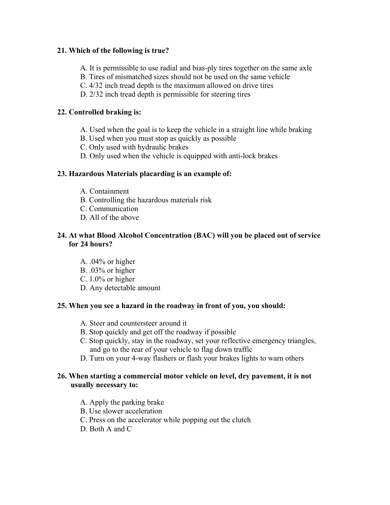## **21. Which of the following is true?**

- A. It is permissible to use radial and bias-ply tires together on the same axle
- B. Tires of mismatched sizes should not be used on the same vehicle
- C. 4/32 inch tread depth is the maximum allowed on drive tires
- D. 2/32 inch tread depth is permissible for steering tires

## **22. Controlled braking is:**

- A. Used when the goal is to keep the vehicle in a straight line while braking
- B. Used when you must stop as quickly as possible
- C. Only used with hydraulic brakes
- D. Only used when the vehicle is equipped with anti-lock brakes

#### **23. Hazardous Materials placarding is an example of:**

- A. Containment
- B. Controlling the hazardous materials risk
- C. Communication
- D. All of the above

## **24. At what Blood Alcohol Concentration (BAC) will you be placed out of service for 24 hours?**

- A. .04% or higher
- B. .03% or higher
- C. 1.0% or higher
- D. Any detectable amount

#### **25. When you see a hazard in the roadway in front of you, you should:**

- A. Steer and countersteer around it
- B. Stop quickly and get off the roadway if possible
- C. Stop quickly, stay in the roadway, set your reflective emergency triangles, and go to the rear of your vehicle to flag down traffic
- D. Turn on your 4-way flashers or flash your brakes lights to warn others

#### **26. When starting a commercial motor vehicle on level, dry pavement, it is not usually necessary to:**

- A. Apply the parking brake
- B. Use slower acceleration
- C. Press on the accelerator while popping out the clutch
- D. Both A and C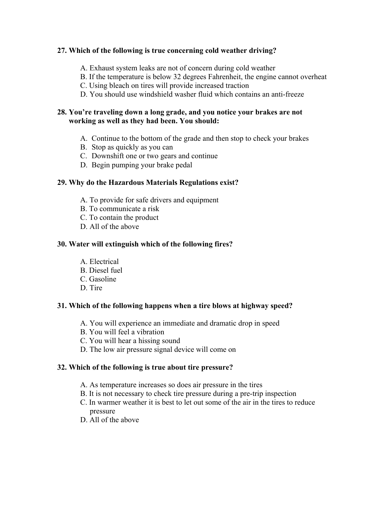## **27. Which of the following is true concerning cold weather driving?**

- A. Exhaust system leaks are not of concern during cold weather
- B. If the temperature is below 32 degrees Fahrenheit, the engine cannot overheat
- C. Using bleach on tires will provide increased traction
- D. You should use windshield washer fluid which contains an anti-freeze

## **28. You're traveling down a long grade, and you notice your brakes are not working as well as they had been. You should:**

- A. Continue to the bottom of the grade and then stop to check your brakes
- B. Stop as quickly as you can
- C. Downshift one or two gears and continue
- D. Begin pumping your brake pedal

## **29. Why do the Hazardous Materials Regulations exist?**

- A. To provide for safe drivers and equipment
- B. To communicate a risk
- C. To contain the product
- D. All of the above

## **30. Water will extinguish which of the following fires?**

- A. Electrical
- B. Diesel fuel
- C. Gasoline
- D. Tire

#### **31. Which of the following happens when a tire blows at highway speed?**

- A. You will experience an immediate and dramatic drop in speed
- B. You will feel a vibration
- C. You will hear a hissing sound
- D. The low air pressure signal device will come on

#### **32. Which of the following is true about tire pressure?**

- A. As temperature increases so does air pressure in the tires
- B. It is not necessary to check tire pressure during a pre-trip inspection
- C. In warmer weather it is best to let out some of the air in the tires to reduce pressure
- D. All of the above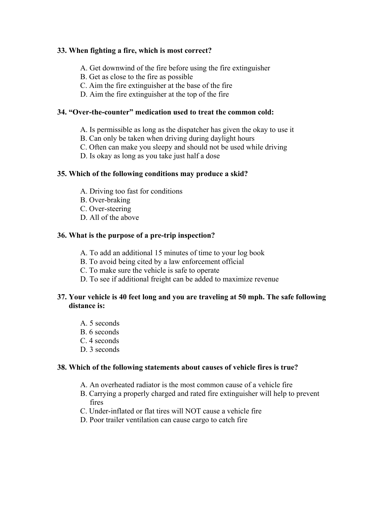### **33. When fighting a fire, which is most correct?**

- A. Get downwind of the fire before using the fire extinguisher
- B. Get as close to the fire as possible
- C. Aim the fire extinguisher at the base of the fire
- D. Aim the fire extinguisher at the top of the fire

### **34. "Over-the-counter" medication used to treat the common cold:**

- A. Is permissible as long as the dispatcher has given the okay to use it
- B. Can only be taken when driving during daylight hours
- C. Often can make you sleepy and should not be used while driving
- D. Is okay as long as you take just half a dose

#### **35. Which of the following conditions may produce a skid?**

- A. Driving too fast for conditions
- B. Over-braking
- C. Over-steering
- D. All of the above

## **36. What is the purpose of a pre-trip inspection?**

- A. To add an additional 15 minutes of time to your log book
- B. To avoid being cited by a law enforcement official
- C. To make sure the vehicle is safe to operate
- D. To see if additional freight can be added to maximize revenue

## **37. Your vehicle is 40 feet long and you are traveling at 50 mph. The safe following distance is:**

- A. 5 seconds
- B. 6 seconds
- C. 4 seconds
- D. 3 seconds

#### **38. Which of the following statements about causes of vehicle fires is true?**

- A. An overheated radiator is the most common cause of a vehicle fire
- B. Carrying a properly charged and rated fire extinguisher will help to prevent fires
- C. Under-inflated or flat tires will NOT cause a vehicle fire
- D. Poor trailer ventilation can cause cargo to catch fire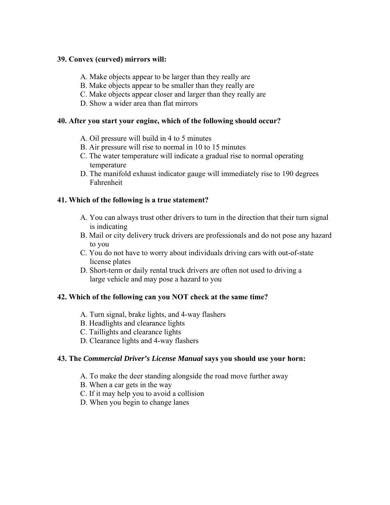### **39. Convex (curved) mirrors will:**

- A. Make objects appear to be larger than they really are
- B. Make objects appear to be smaller than they really are
- C. Make objects appear closer and larger than they really are
- D. Show a wider area than flat mirrors

## **40. After you start your engine, which of the following should occur?**

- A. Oil pressure will build in 4 to 5 minutes
- B. Air pressure will rise to normal in 10 to 15 minutes
- C. The water temperature will indicate a gradual rise to normal operating temperature
- D. The manifold exhaust indicator gauge will immediately rise to 190 degrees Fahrenheit

#### **41. Which of the following is a true statement?**

- A. You can always trust other drivers to turn in the direction that their turn signal is indicating
- B. Mail or city delivery truck drivers are professionals and do not pose any hazard to you
- C. You do not have to worry about individuals driving cars with out-of-state license plates
- D. Short-term or daily rental truck drivers are often not used to driving a large vehicle and may pose a hazard to you

#### **42. Which of the following can you NOT check at the same time?**

- A. Turn signal, brake lights, and 4-way flashers
- B. Headlights and clearance lights
- C. Taillights and clearance lights
- D. Clearance lights and 4-way flashers

#### **43. The** *Commercial Driver's License Manual* **says you should use your horn:**

- A. To make the deer standing alongside the road move further away
- B. When a car gets in the way
- C. If it may help you to avoid a collision
- D. When you begin to change lanes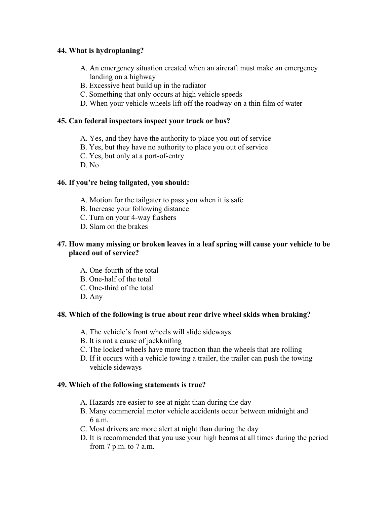## **44. What is hydroplaning?**

- A. An emergency situation created when an aircraft must make an emergency landing on a highway
- B. Excessive heat build up in the radiator
- C. Something that only occurs at high vehicle speeds
- D. When your vehicle wheels lift off the roadway on a thin film of water

### **45. Can federal inspectors inspect your truck or bus?**

- A. Yes, and they have the authority to place you out of service
- B. Yes, but they have no authority to place you out of service
- C. Yes, but only at a port-of-entry
- D. No

## **46. If you're being tailgated, you should:**

- A. Motion for the tailgater to pass you when it is safe
- B. Increase your following distance
- C. Turn on your 4-way flashers
- D. Slam on the brakes

### **47. How many missing or broken leaves in a leaf spring will cause your vehicle to be placed out of service?**

- A. One-fourth of the total
- B. One-half of the total
- C. One-third of the total
- D. Any

#### **48. Which of the following is true about rear drive wheel skids when braking?**

- A. The vehicle's front wheels will slide sideways
- B. It is not a cause of jackknifing
- C. The locked wheels have more traction than the wheels that are rolling
- D. If it occurs with a vehicle towing a trailer, the trailer can push the towing vehicle sideways

#### **49. Which of the following statements is true?**

- A. Hazards are easier to see at night than during the day
- B. Many commercial motor vehicle accidents occur between midnight and 6 a.m.
- C. Most drivers are more alert at night than during the day
- D. It is recommended that you use your high beams at all times during the period from 7 p.m. to 7 a.m.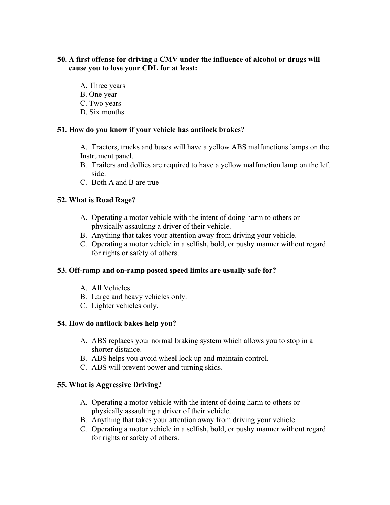## **50. A first offense for driving a CMV under the influence of alcohol or drugs will cause you to lose your CDL for at least:**

- A. Three years
- B. One year
- C. Two years
- D. Six months

## **51. How do you know if your vehicle has antilock brakes?**

A. Tractors, trucks and buses will have a yellow ABS malfunctions lamps on the Instrument panel.

- B. Trailers and dollies are required to have a yellow malfunction lamp on the left side.
- C. Both A and B are true

## **52. What is Road Rage?**

- A. Operating a motor vehicle with the intent of doing harm to others or physically assaulting a driver of their vehicle.
- B. Anything that takes your attention away from driving your vehicle.
- C. Operating a motor vehicle in a selfish, bold, or pushy manner without regard for rights or safety of others.

## **53. Off-ramp and on-ramp posted speed limits are usually safe for?**

- A. All Vehicles
- B. Large and heavy vehicles only.
- C. Lighter vehicles only.

#### **54. How do antilock bakes help you?**

- A. ABS replaces your normal braking system which allows you to stop in a shorter distance.
- B. ABS helps you avoid wheel lock up and maintain control.
- C. ABS will prevent power and turning skids.

## **55. What is Aggressive Driving?**

- A. Operating a motor vehicle with the intent of doing harm to others or physically assaulting a driver of their vehicle.
- B. Anything that takes your attention away from driving your vehicle.
- C. Operating a motor vehicle in a selfish, bold, or pushy manner without regard for rights or safety of others.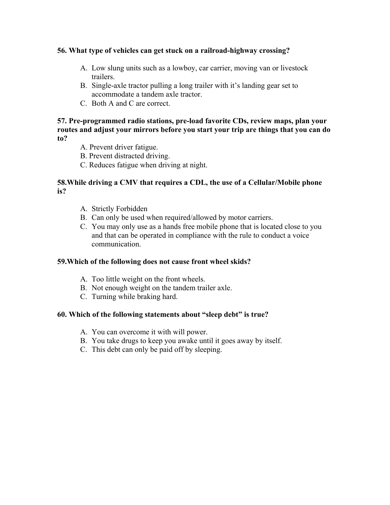## **56. What type of vehicles can get stuck on a railroad-highway crossing?**

- A. Low slung units such as a lowboy, car carrier, moving van or livestock trailers.
- B. Single-axle tractor pulling a long trailer with it's landing gear set to accommodate a tandem axle tractor.
- C. Both A and C are correct.

### **57. Pre-programmed radio stations, pre-load favorite CDs, review maps, plan your routes and adjust your mirrors before you start your trip are things that you can do to?**

- A. Prevent driver fatigue.
- B. Prevent distracted driving.
- C. Reduces fatigue when driving at night.

## **58.While driving a CMV that requires a CDL, the use of a Cellular/Mobile phone is?**

- A. Strictly Forbidden
- B. Can only be used when required/allowed by motor carriers.
- C. You may only use as a hands free mobile phone that is located close to you and that can be operated in compliance with the rule to conduct a voice communication.

## **59.Which of the following does not cause front wheel skids?**

- A. Too little weight on the front wheels.
- B. Not enough weight on the tandem trailer axle.
- C. Turning while braking hard.

## **60. Which of the following statements about "sleep debt" is true?**

- A. You can overcome it with will power.
- B. You take drugs to keep you awake until it goes away by itself.
- C. This debt can only be paid off by sleeping.